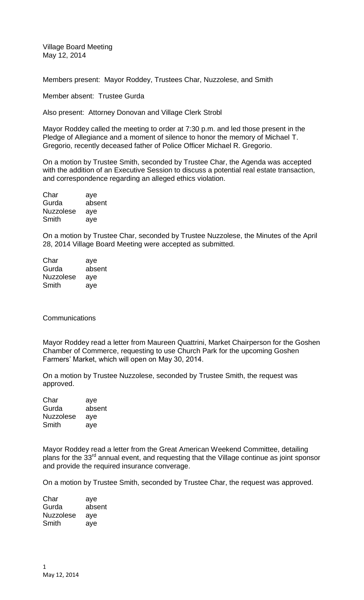Village Board Meeting May 12, 2014

Members present: Mayor Roddey, Trustees Char, Nuzzolese, and Smith

Member absent: Trustee Gurda

Also present: Attorney Donovan and Village Clerk Strobl

Mayor Roddey called the meeting to order at 7:30 p.m. and led those present in the Pledge of Allegiance and a moment of silence to honor the memory of Michael T. Gregorio, recently deceased father of Police Officer Michael R. Gregorio.

On a motion by Trustee Smith, seconded by Trustee Char, the Agenda was accepted with the addition of an Executive Session to discuss a potential real estate transaction, and correspondence regarding an alleged ethics violation.

| Char             | aye    |
|------------------|--------|
| Gurda            | absent |
| <b>Nuzzolese</b> | aye    |
| Smith            | aye    |

On a motion by Trustee Char, seconded by Trustee Nuzzolese, the Minutes of the April 28, 2014 Village Board Meeting were accepted as submitted.

| Char             | aye    |
|------------------|--------|
| Gurda            | absent |
| <b>Nuzzolese</b> | aye    |
| Smith            | aye    |

#### **Communications**

Mayor Roddey read a letter from Maureen Quattrini, Market Chairperson for the Goshen Chamber of Commerce, requesting to use Church Park for the upcoming Goshen Farmers' Market, which will open on May 30, 2014.

On a motion by Trustee Nuzzolese, seconded by Trustee Smith, the request was approved.

Char aye Gurda absent Nuzzolese aye Smith aye

Mayor Roddey read a letter from the Great American Weekend Committee, detailing plans for the 33<sup>rd</sup> annual event, and requesting that the Village continue as joint sponsor and provide the required insurance converage.

On a motion by Trustee Smith, seconded by Trustee Char, the request was approved.

| Char             | aye    |
|------------------|--------|
| Gurda            | absent |
| <b>Nuzzolese</b> | aye    |
| Smith            | ave    |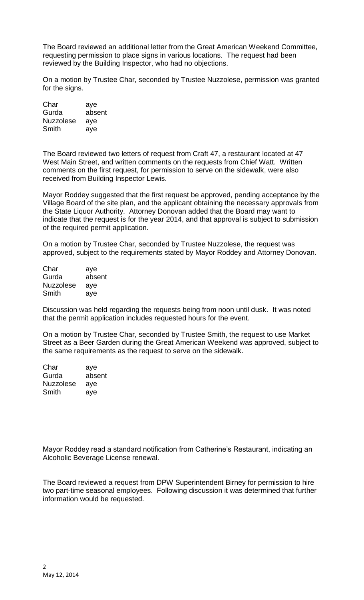The Board reviewed an additional letter from the Great American Weekend Committee, requesting permission to place signs in various locations. The request had been reviewed by the Building Inspector, who had no objections.

On a motion by Trustee Char, seconded by Trustee Nuzzolese, permission was granted for the signs.

Char aye Gurda absent Nuzzolese aye Smith aye

The Board reviewed two letters of request from Craft 47, a restaurant located at 47 West Main Street, and written comments on the requests from Chief Watt. Written comments on the first request, for permission to serve on the sidewalk, were also received from Building Inspector Lewis.

Mayor Roddey suggested that the first request be approved, pending acceptance by the Village Board of the site plan, and the applicant obtaining the necessary approvals from the State Liquor Authority. Attorney Donovan added that the Board may want to indicate that the request is for the year 2014, and that approval is subject to submission of the required permit application.

On a motion by Trustee Char, seconded by Trustee Nuzzolese, the request was approved, subject to the requirements stated by Mayor Roddey and Attorney Donovan.

Char aye Gurda absent Nuzzolese aye Smith aye

Discussion was held regarding the requests being from noon until dusk. It was noted that the permit application includes requested hours for the event.

On a motion by Trustee Char, seconded by Trustee Smith, the request to use Market Street as a Beer Garden during the Great American Weekend was approved, subject to the same requirements as the request to serve on the sidewalk.

Char aye Gurda absent Nuzzolese aye Smith aye

Mayor Roddey read a standard notification from Catherine's Restaurant, indicating an Alcoholic Beverage License renewal.

The Board reviewed a request from DPW Superintendent Birney for permission to hire two part-time seasonal employees. Following discussion it was determined that further information would be requested.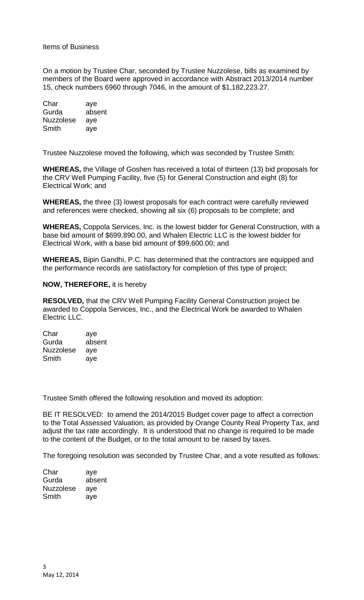#### Items of Business

On a motion by Trustee Char, seconded by Trustee Nuzzolese, bills as examined by members of the Board were approved in accordance with Abstract 2013/2014 number 15, check numbers 6960 through 7046, in the amount of \$1,182,223.27.

Char aye Gurda absent Nuzzolese aye Smith aye

Trustee Nuzzolese moved the following, which was seconded by Trustee Smith:

**WHEREAS,** the Village of Goshen has received a total of thirteen (13) bid proposals for the CRV Well Pumping Facility, five (5) for General Construction and eight (8) for Electrical Work; and

**WHEREAS,** the three (3) lowest proposals for each contract were carefully reviewed and references were checked, showing all six (6) proposals to be complete; and

**WHEREAS,** Coppola Services, Inc. is the lowest bidder for General Construction, with a base bid amount of \$699,890.00, and Whalen Electric LLC is the lowest bidder for Electrical Work, with a base bid amount of \$99,600.00; and

**WHEREAS,** Bipin Gandhi, P.C. has determined that the contractors are equipped and the performance records are satisfactory for completion of this type of project;

#### **NOW, THEREFORE,** it is hereby

**RESOLVED,** that the CRV Well Pumping Facility General Construction project be awarded to Coppola Services, Inc., and the Electrical Work be awarded to Whalen Electric LLC.

| Char             | aye    |
|------------------|--------|
| Gurda            | absent |
| <b>Nuzzolese</b> | aye    |
| Smith            | aye    |

Trustee Smith offered the following resolution and moved its adoption:

BE IT RESOLVED: to amend the 2014/2015 Budget cover page to affect a correction to the Total Assessed Valuation, as provided by Orange County Real Property Tax, and adjust the tax rate accordingly. It is understood that no change is required to be made to the content of the Budget, or to the total amount to be raised by taxes.

The foregoing resolution was seconded by Trustee Char, and a vote resulted as follows:

| Char             | aye    |
|------------------|--------|
| Gurda            | absent |
| <b>Nuzzolese</b> | aye    |
| Smith            | ave    |